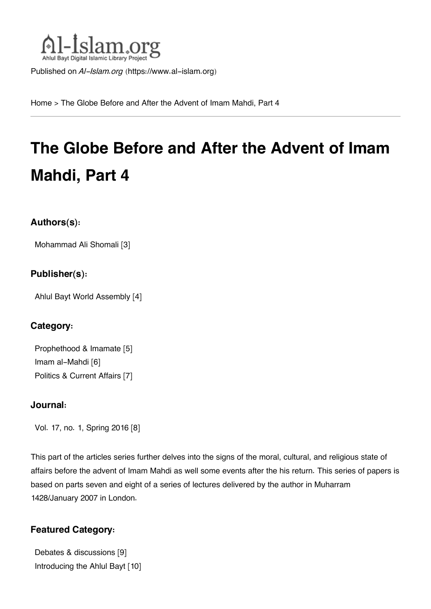

Published on *Al-Islam.org* ([https://www.al-islam.org\)](https://www.al-islam.org)

[Home](https://www.al-islam.org/) > The Globe Before and After the Advent of Imam Mahdi, Part 4

# **The Globe Before and After the Advent of Imam Mahdi, Part 4**

#### **Authors(s):**

[Mohammad Ali Shomali](https://www.al-islam.org/person/mohammad-ali-shomali) [3]

#### **Publisher(s):**

[Ahlul Bayt World Assembly](https://www.al-islam.org/organization/ahlul-bayt-world-assembly) [4]

### **Category:**

[Prophethood & Imamate](https://www.al-islam.org/library/prophethood-imamate) [5] [Imam al-Mahdi](https://www.al-islam.org/library/imam-al-mahdi) [6] [Politics & Current Affairs](https://www.al-islam.org/library/politics-current-affairs) [7]

#### **Journal:**

[Vol. 17, no. 1, Spring 2016](https://www.al-islam.org/journals/vol-17-no-1-spring-2016) [8]

This part of the articles series further delves into the signs of the moral, cultural, and religious state of affairs before the advent of Imam Mahdi as well some events after the his return. This series of papers is based on parts seven and eight of a series of lectures delivered by the author in Muharram 1428/January 2007 in London.

### **Featured Category:**

[Debates & discussions](https://www.al-islam.org/feature/debates-discussions) [9] [Introducing the Ahlul Bayt](https://www.al-islam.org/feature/introducing-ahlul-bayt) [10]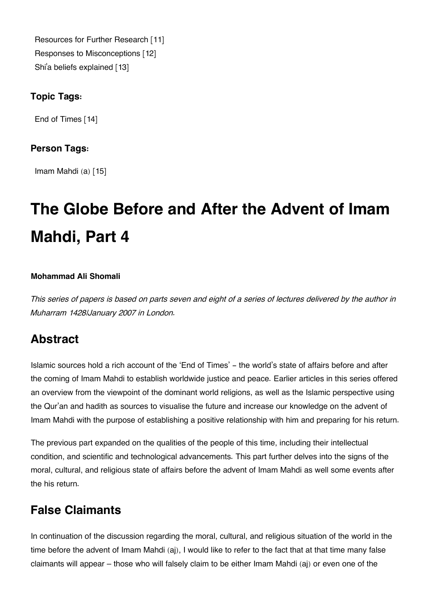[Resources for Further Research](https://www.al-islam.org/feature/resources-further-research) [11] [Responses to Misconceptions](https://www.al-islam.org/feature/responses-misconceptions) [12] Shi['a beliefs explained](https://www.al-islam.org/feature/shia-beliefs-explained) [13]

### **Topic Tags:**

[End of Times](https://www.al-islam.org/tags/end-times) [14]

#### **Person Tags:**

[Imam Mahdi \(a\)](https://www.al-islam.org/person/imam-al-mahdi) [15]

# **The Globe Before and After the Advent of Imam Mahdi, Part 4**

#### **Mohammad Ali Shomali**

*This series of papers is based on parts seven and eight of a series of lectures delivered by the author in Muharram 1428/January 2007 in London.*

### **[Abstract](#page--1-0)**

Islamic sources hold a rich account of the 'End of Times' - the world's state of affairs before and after the coming of Imam Mahdi to establish worldwide justice and peace. Earlier articles in this series offered an overview from the viewpoint of the dominant world religions, as well as the Islamic perspective using the Qur'an and hadith as sources to visualise the future and increase our knowledge on the advent of Imam Mahdi with the purpose of establishing a positive relationship with him and preparing for his return.

The previous part expanded on the qualities of the people of this time, including their intellectual condition, and scientific and technological advancements. This part further delves into the signs of the moral, cultural, and religious state of affairs before the advent of Imam Mahdi as well some events after the his return.

### **[False Claimants](#page--1-0)**

In continuation of the discussion regarding the moral, cultural, and religious situation of the world in the time before the advent of Imam Mahdi (aj), I would like to refer to the fact that at that time many false claimants will appear – those who will falsely claim to be either Imam Mahdi (aj) or even one of the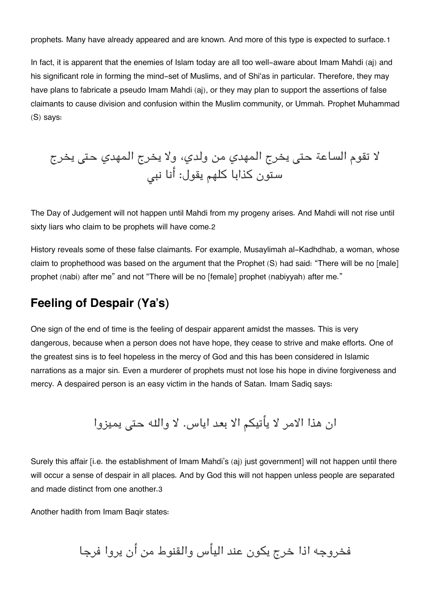prophets. Many have already appeared and are known. And more of this type is expected to surface.[1](#page--1-0)

In fact, it is apparent that the enemies of Islam today are all too well-aware about Imam Mahdi (aj) and his significant role in forming the mind-set of Muslims, and of Shi'as in particular. Therefore, they may have plans to fabricate a pseudo Imam Mahdi (aj), or they may plan to support the assertions of false claimants to cause division and confusion within the Muslim community, or Ummah. Prophet Muhammad (S) says:

لا تقوم الساعة حت يخرج المهدي من ولدي، ولا يخرج المهدي حت يخرج ستون كذابا كلهم يقول: أنا نب

The Day of Judgement will not happen until Mahdi from my progeny arises. And Mahdi will not rise until sixty liars who claim to be prophets will have come.[2](#page--1-0)

History reveals some of these false claimants. For example, Musaylimah al-Kadhdhab, a woman, whose claim to prophethood was based on the argument that the Prophet (S) had said: "There will be no [male] prophet (nabi) after me" and not "There will be no [female] prophet (nabiyyah) after me."

### **[Feeling of Despair \(Ya's\)](#page--1-0)**

One sign of the end of time is the feeling of despair apparent amidst the masses. This is very dangerous, because when a person does not have hope, they cease to strive and make efforts. One of the greatest sins is to feel hopeless in the mercy of God and this has been considered in Islamic narrations as a major sin. Even a murderer of prophets must not lose his hope in divine forgiveness and mercy. A despaired person is an easy victim in the hands of Satan. Imam Sadiq says:

ان هذا الامر لا يأتيم الا بعد اياس. لا واله حت يميزوا

Surely this affair [i.e. the establishment of Imam Mahdi's (aj) just government] will not happen until there will occur a sense of despair in all places. And by God this will not happen unless people are separated and made distinct from one another.[3](#page--1-0)

Another hadith from Imam Baqir states:

فخروجه اذا خرج يون عند اليأس والقنوط من أن يروا فرجا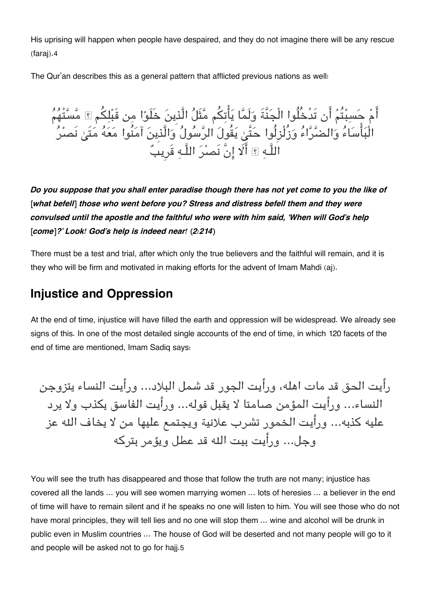His uprising will happen when people have despaired, and they do not imagine there will be any rescue (faraj).[4](#page--1-0)

The Qur'an describes this as a general pattern that afflicted previous nations as well:

أَمْ حَسبْتُمْ أَن تَدْخُلُوا الْجَنَّةَ وَلَمَّا يَأْتِكُم مَّثَلُ الَّذِينَ خَلَوْا مِن قَبْلِكُم ۞ مَّسَّتْهُمُ الْبَأْسَاءُ وَالضَّرَّاءُ وَزُلْزِلُوا حَتَّىٰ يَقُولَ الرَّسُولُ وَالَّذِينَ آمَنُوا مَعَهُ مَتَىٰ نَصْرُ اللَّـه ؟ أَلَا إنَّ نَصرُ اللَّـه قَرِيبٌ

*Do you suppose that you shall enter paradise though there has not yet come to you the like of [what befell] those who went before you? Stress and distress befell them and they were convulsed until the apostle and the faithful who were with him said, 'When will God's help [come]?' Look! God's help is indeed near! (2:214)*

There must be a test and trial, after which only the true believers and the faithful will remain, and it is they who will be firm and motivated in making efforts for the advent of Imam Mahdi (aj).

### **[Injustice and Oppression](#page--1-0)**

At the end of time, injustice will have filled the earth and oppression will be widespread. We already see signs of this. In one of the most detailed single accounts of the end of time, in which 120 facets of the end of time are mentioned, Imam Sadiq says:

رأيت الحق قد مات اهله، ورأيت الجور قد شمل البلاد... ورأيت النساء يتزوجن النساء... ورأيت المؤمن صامتا لا يقبل قوله... ورأيت الفاسق يذب ولا يرد عليه كذبه... ورأيت الخمور تشرب علانية ويجتمع عليها من لا يخاف اله عز وجل... ورأيت بيت اله قد عطل ويؤمر بتركه

You will see the truth has disappeared and those that follow the truth are not many; injustice has covered all the lands … you will see women marrying women … lots of heresies … a believer in the end of time will have to remain silent and if he speaks no one will listen to him. You will see those who do not have moral principles, they will tell lies and no one will stop them ... wine and alcohol will be drunk in public even in Muslim countries … The house of God will be deserted and not many people will go to it and people will be asked not to go for hajj.[5](#page--1-0)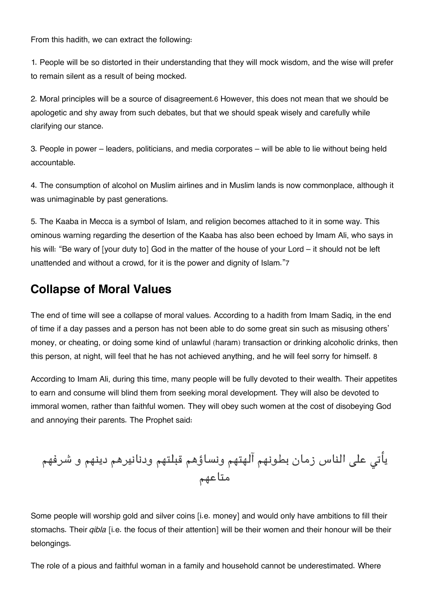From this hadith, we can extract the following:

1. People will be so distorted in their understanding that they will mock wisdom, and the wise will prefer to remain silent as a result of being mocked.

2. Moral principles will be a source of disagreement.[6](#page--1-0) However, this does not mean that we should be apologetic and shy away from such debates, but that we should speak wisely and carefully while clarifying our stance.

3. People in power – leaders, politicians, and media corporates – will be able to lie without being held accountable.

4. The consumption of alcohol on Muslim airlines and in Muslim lands is now commonplace, although it was unimaginable by past generations.

5. The Kaaba in Mecca is a symbol of Islam, and religion becomes attached to it in some way. This ominous warning regarding the desertion of the Kaaba has also been echoed by Imam Ali, who says in his will: "Be wary of [your duty to] God in the matter of the house of your Lord – it should not be left unattended and without a crowd, for it is the power and dignity of Islam."[7](#page--1-0)

### **[Collapse of Moral Values](#page--1-0)**

The end of time will see a collapse of moral values. According to a hadith from Imam Sadiq, in the end of time if a day passes and a person has not been able to do some great sin such as misusing others' money, or cheating, or doing some kind of unlawful (haram) transaction or drinking alcoholic drinks, then this person, at night, will feel that he has not achieved anything, and he will feel sorry for himself. [8](#page--1-0)

According to Imam Ali, during this time, many people will be fully devoted to their wealth. Their appetites to earn and consume will blind them from seeking moral development. They will also be devoted to immoral women, rather than faithful women. They will obey such women at the cost of disobeying God and annoying their parents. The Prophet said:

يأت عل الناس زمان بطونهم آلهتهم ونساؤهم قبلتهم ودنانيرهم دينهم و شرفهم متاعهم

Some people will worship gold and silver coins [i.e. money] and would only have ambitions to fill their stomachs. Their *qibla* [i.e. the focus of their attention] will be their women and their honour will be their belongings.

The role of a pious and faithful woman in a family and household cannot be underestimated. Where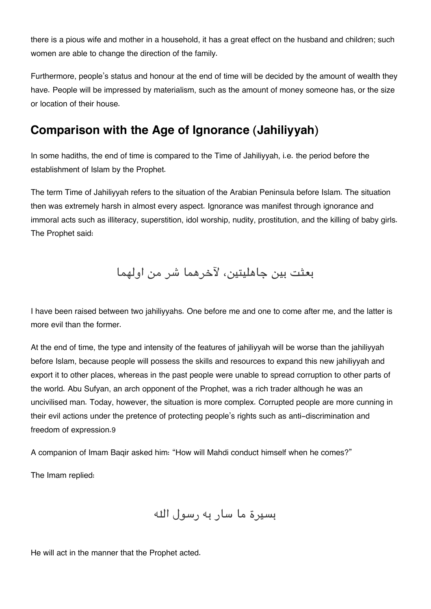there is a pious wife and mother in a household, it has a great effect on the husband and children; such women are able to change the direction of the family.

Furthermore, people's status and honour at the end of time will be decided by the amount of wealth they have. People will be impressed by materialism, such as the amount of money someone has, or the size or location of their house.

### **[Comparison with the Age of Ignorance \(Jahiliyyah\)](#page--1-0)**

In some hadiths, the end of time is compared to the Time of Jahiliyyah, i.e. the period before the establishment of Islam by the Prophet.

The term Time of Jahiliyyah refers to the situation of the Arabian Peninsula before Islam. The situation then was extremely harsh in almost every aspect. Ignorance was manifest through ignorance and immoral acts such as illiteracy, superstition, idol worship, nudity, prostitution, and the killing of baby girls. The Prophet said:

بعثت بين جاهليتين، لآخرهما شر من اولهما

I have been raised between two jahiliyyahs. One before me and one to come after me, and the latter is more evil than the former.

At the end of time, the type and intensity of the features of jahiliyyah will be worse than the jahiliyyah before Islam, because people will possess the skills and resources to expand this new jahiliyyah and export it to other places, whereas in the past people were unable to spread corruption to other parts of the world. Abu Sufyan, an arch opponent of the Prophet, was a rich trader although he was an uncivilised man. Today, however, the situation is more complex. Corrupted people are more cunning in their evil actions under the pretence of protecting people's rights such as anti-discrimination and freedom of expression.[9](#page--1-0)

A companion of Imam Baqir asked him: "How will Mahdi conduct himself when he comes?"

The Imam replied:

بسيرة ما سار به رسول اله

He will act in the manner that the Prophet acted.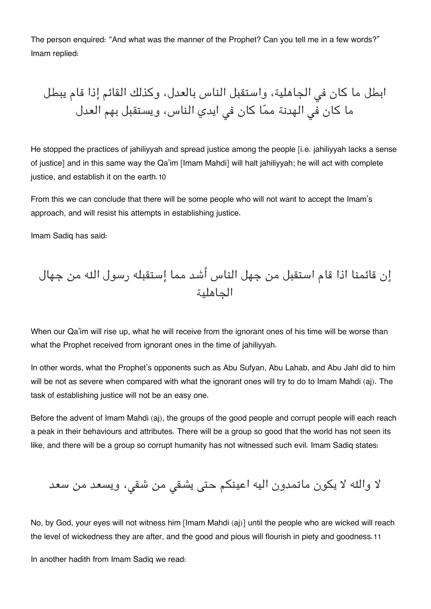The person enquired: "And what was the manner of the Prophet? Can you tell me in a few words?" Imam replied:

ابطل ما كان ف الجاهلية، واستقبل الناس بالعدل، وكذلك القائم إذا قام يبطل ما كان ف الهدنة مما كان ف ايدي الناس، ويستقبل بهم العدل

He stopped the practices of jahiliyyah and spread justice among the people [i.e. jahiliyyah lacks a sense of justice] and in this same way the Qa'im [Imam Mahdi] will halt jahiliyyah; he will act with complete justice, and establish it on the earth.[10](#page--1-0)

From this we can conclude that there will be some people who will not want to accept the Imam's approach, and will resist his attempts in establishing justice.

Imam Sadiq has said:

إن قائمنا اذا قام استقبل من جهل الناس أشد مما إستقبله رسول اله من جهال الجاهلية

When our Qa'im will rise up, what he will receive from the ignorant ones of his time will be worse than what the Prophet received from ignorant ones in the time of jahiliyyah.

In other words, what the Prophet's opponents such as Abu Sufyan, Abu Lahab, and Abu Jahl did to him will be not as severe when compared with what the ignorant ones will try to do to Imam Mahdi (aj). The task of establishing justice will not be an easy one.

Before the advent of Imam Mahdi (aj), the groups of the good people and corrupt people will each reach a peak in their behaviours and attributes. There will be a group so good that the world has not seen its like, and there will be a group so corrupt humanity has not witnessed such evil. Imam Sadiq states:

لا واله لا يون ماتمدون اليه اعينم حت يشق من شق، ويسعد من سعد

No, by God, your eyes will not witness him [Imam Mahdi (aj)] until the people who are wicked will reach the level of wickedness they are after, and the good and pious will flourish in piety and goodness.[11](#page--1-0)

In another hadith from Imam Sadiq we read: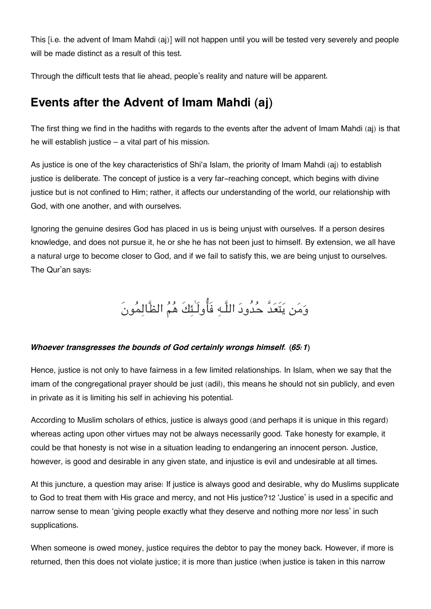This [i.e. the advent of Imam Mahdi (aj)] will not happen until you will be tested very severely and people will be made distinct as a result of this test.

Through the difficult tests that lie ahead, people's reality and nature will be apparent.

### **[Events after the Advent of Imam Mahdi \(aj\)](#page--1-0)**

The first thing we find in the hadiths with regards to the events after the advent of Imam Mahdi (aj) is that he will establish justice – a vital part of his mission.

As justice is one of the key characteristics of Shi'a Islam, the priority of Imam Mahdi (aj) to establish justice is deliberate. The concept of justice is a very far-reaching concept, which begins with divine justice but is not confined to Him; rather, it affects our understanding of the world, our relationship with God, with one another, and with ourselves.

Ignoring the genuine desires God has placed in us is being unjust with ourselves. If a person desires knowledge, and does not pursue it, he or she he has not been just to himself. By extension, we all have a natural urge to become closer to God, and if we fail to satisfy this, we are being unjust to ourselves. The Qur'an says:

## ومن يتَعدَّ حدُود اللَّـه فَاولَـٰئكَ هم الظَّالمونَ

#### *Whoever transgresses the bounds of God certainly wrongs himself. (65:1)*

Hence, justice is not only to have fairness in a few limited relationships. In Islam, when we say that the imam of the congregational prayer should be just (adil), this means he should not sin publicly, and even in private as it is limiting his self in achieving his potential.

According to Muslim scholars of ethics, justice is always good (and perhaps it is unique in this regard) whereas acting upon other virtues may not be always necessarily good. Take honesty for example, it could be that honesty is not wise in a situation leading to endangering an innocent person. Justice, however, is good and desirable in any given state, and injustice is evil and undesirable at all times.

At this juncture, a question may arise: If justice is always good and desirable, why do Muslims supplicate to God to treat them with His grace and mercy, and not His justice?[12](#page--1-0) 'Justice' is used in a specific and narrow sense to mean 'giving people exactly what they deserve and nothing more nor less' in such supplications.

When someone is owed money, justice requires the debtor to pay the money back. However, if more is returned, then this does not violate justice; it is more than justice (when justice is taken in this narrow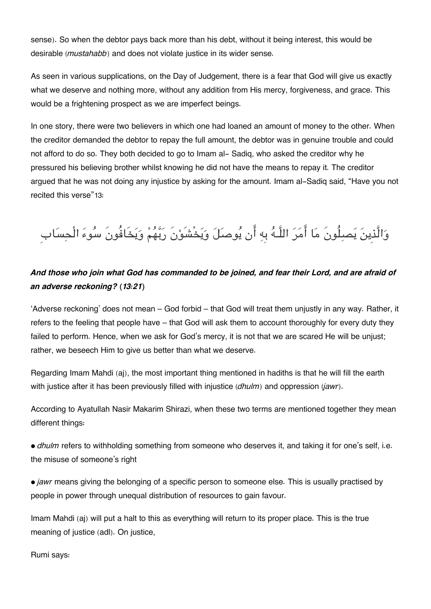sense). So when the debtor pays back more than his debt, without it being interest, this would be desirable (*mustahabb*) and does not violate justice in its wider sense.

As seen in various supplications, on the Day of Judgement, there is a fear that God will give us exactly what we deserve and nothing more, without any addition from His mercy, forgiveness, and grace. This would be a frightening prospect as we are imperfect beings.

In one story, there were two believers in which one had loaned an amount of money to the other. When the creditor demanded the debtor to repay the full amount, the debtor was in genuine trouble and could not afford to do so. They both decided to go to Imam al- Sadiq, who asked the creditor why he pressured his believing brother whilst knowing he did not have the means to repay it. The creditor argued that he was not doing any injustice by asking for the amount. Imam al-Sadiq said, "Have you not recited this verse"[13](#page--1-0):

## وَالَّذِينَ يَصبِلُونَ مَا أَمَرَ اللَّـهُ بِهِ أَن يُوصَلَ وَيَخْشَوْنَ رَبَّهُمْ وَيَخَافُونَ سُوءَ الْحِسَاب

### *And those who join what God has commanded to be joined, and fear their Lord, and are afraid of an adverse reckoning? (13:21)*

'Adverse reckoning' does not mean – God forbid – that God will treat them unjustly in any way. Rather, it refers to the feeling that people have – that God will ask them to account thoroughly for every duty they failed to perform. Hence, when we ask for God's mercy, it is not that we are scared He will be unjust; rather, we beseech Him to give us better than what we deserve.

Regarding Imam Mahdi (aj), the most important thing mentioned in hadiths is that he will fill the earth with justice after it has been previously filled with injustice (*dhulm*) and oppression (*jawr*).

According to Ayatullah Nasir Makarim Shirazi, when these two terms are mentioned together they mean different things:

• *dhulm* refers to withholding something from someone who deserves it, and taking it for one's self, i.e. the misuse of someone's right

• *jawr* means giving the belonging of a specific person to someone else. This is usually practised by people in power through unequal distribution of resources to gain favour.

Imam Mahdi (aj) will put a halt to this as everything will return to its proper place. This is the true meaning of justice (adl). On justice,

Rumi says: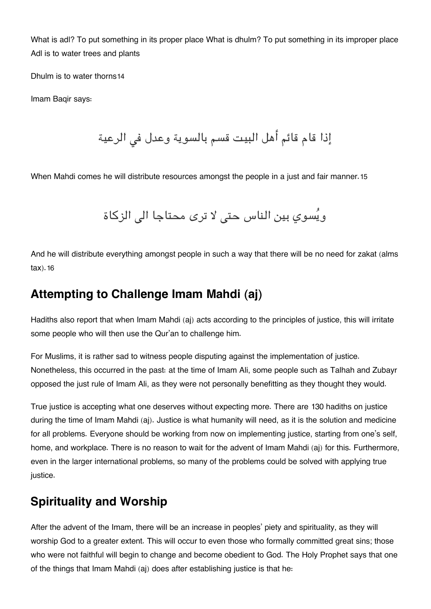What is adl? To put something in its proper place What is dhulm? To put something in its improper place Adl is to water trees and plants

Dhulm is to water thorns[14](#page--1-0)

Imam Baqir says:

إذا قام قائم أهل البيت قسم بالسوية وعدل فى الرعية

When Mahdi comes he will distribute resources amongst the people in a just and fair manner.[15](#page--1-0)

ويُسوى بين الناس حتى لا ترى محتاجا الى الزكاة

And he will distribute everything amongst people in such a way that there will be no need for zakat (alms tax).[16](#page--1-0)

### **[Attempting to Challenge Imam Mahdi \(aj\)](#page--1-0)**

Hadiths also report that when Imam Mahdi (aj) acts according to the principles of justice, this will irritate some people who will then use the Qur'an to challenge him.

For Muslims, it is rather sad to witness people disputing against the implementation of justice. Nonetheless, this occurred in the past: at the time of Imam Ali, some people such as Talhah and Zubayr opposed the just rule of Imam Ali, as they were not personally benefitting as they thought they would.

True justice is accepting what one deserves without expecting more. There are 130 hadiths on justice during the time of Imam Mahdi (aj). Justice is what humanity will need, as it is the solution and medicine for all problems. Everyone should be working from now on implementing justice, starting from one's self, home, and workplace. There is no reason to wait for the advent of Imam Mahdi (aj) for this. Furthermore, even in the larger international problems, so many of the problems could be solved with applying true justice.

### **[Spirituality and Worship](#page--1-0)**

After the advent of the Imam, there will be an increase in peoples' piety and spirituality, as they will worship God to a greater extent. This will occur to even those who formally committed great sins; those who were not faithful will begin to change and become obedient to God. The Holy Prophet says that one of the things that Imam Mahdi (aj) does after establishing justice is that he: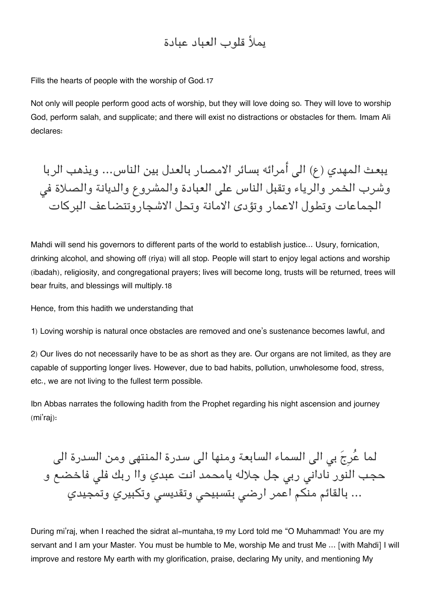### يملأ قلوب العباد عبادة

Fills the hearts of people with the worship of God.[17](#page--1-0)

Not only will people perform good acts of worship, but they will love doing so. They will love to worship God, perform salah, and supplicate; and there will exist no distractions or obstacles for them. Imam Ali declares:

يبعث المهدي (ع) ال أمرائه بسائر الامصار بالعدل بين الناس... ويذهب الربا وشرب الخمر والرياء وتقبل الناس على العبادة والمشروع والديانة والصلاة في الجماعات وتطول الاعمار وتؤدى الامانة وتحل الاشجاروتتضاعف البركات

Mahdi will send his governors to different parts of the world to establish justice… Usury, fornication, drinking alcohol, and showing off (riya) will all stop. People will start to enjoy legal actions and worship (ibadah), religiosity, and congregational prayers; lives will become long, trusts will be returned, trees will bear fruits, and blessings will multiply.[18](#page--1-0)

Hence, from this hadith we understanding that

1) Loving worship is natural once obstacles are removed and one's sustenance becomes lawful, and

2) Our lives do not necessarily have to be as short as they are. Our organs are not limited, as they are capable of supporting longer lives. However, due to bad habits, pollution, unwholesome food, stress, etc., we are not living to the fullest term possible.

Ibn Abbas narrates the following hadith from the Prophet regarding his night ascension and journey (mi'raj):

لما عُرِجَ بي الى السماء السابعة ومنها الى سدرة المنتهى ومن السدرة الى حجب النور نادانى ربى جل جلاله يامحمد انت عبدي واا ربك فلى فاخضع و … بالقائم منكم اعمر ارضى بتسبيحى وتقديسى وتكبيري وتمجيدي

During mi'raj, when I reached the sidrat al-muntaha,[19](#page--1-0) my Lord told me "O Muhammad! You are my servant and I am your Master. You must be humble to Me, worship Me and trust Me … [with Mahdi] I will improve and restore My earth with my glorification, praise, declaring My unity, and mentioning My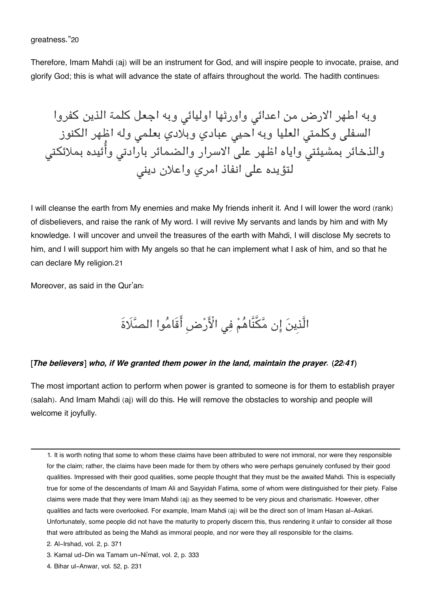#### greatness."[20](#page--1-0)

Therefore, Imam Mahdi (aj) will be an instrument for God, and will inspire people to invocate, praise, and glorify God; this is what will advance the state of affairs throughout the world. The hadith continues:

وبه اطهر الارض من اعدائى واورثها اوليائى وبه اجعل كلمة الذين كفروا السفلى وكلمتي العليا وبه احيى عبادي وبلادي بعلمى وله اظهر الكنوز والذخائر بمشيئتى واياه اظهر على الاسرار والضمائر بارادتى وأَئيده بملائكتى لتؤيده على انفاذ امري واعلان ديني

I will cleanse the earth from My enemies and make My friends inherit it. And I will lower the word (rank) of disbelievers, and raise the rank of My word. I will revive My servants and lands by him and with My knowledge. I will uncover and unveil the treasures of the earth with Mahdi, I will disclose My secrets to him, and I will support him with My angels so that he can implement what I ask of him, and so that he can declare My religion.[21](#page--1-0)

Moreover, as said in the Qur'an:

## الَّذِينَ إِن مَّكَّنَّاهُمْ فِي الْأَرْضِ أَقَامُوا الصَّلَاةَ

#### *[The believers] who, if We granted them power in the land, maintain the prayer. (22:41)*

The most important action to perform when power is granted to someone is for them to establish prayer (salah). And Imam Mahdi (aj) will do this. He will remove the obstacles to worship and people will welcome it joyfully.

[<sup>1.</sup>](#page--1-0) It is worth noting that some to whom these claims have been attributed to were not immoral, nor were they responsible for the claim; rather, the claims have been made for them by others who were perhaps genuinely confused by their good qualities. Impressed with their good qualities, some people thought that they must be the awaited Mahdi. This is especially true for some of the descendants of Imam Ali and Sayyidah Fatima, some of whom were distinguished for their piety. False claims were made that they were Imam Mahdi (aj) as they seemed to be very pious and charismatic. However, other qualities and facts were overlooked. For example, Imam Mahdi (aj) will be the direct son of Imam Hasan al-Askari. Unfortunately, some people did not have the maturity to properly discern this, thus rendering it unfair to consider all those that were attributed as being the Mahdi as immoral people, and nor were they all responsible for the claims.

[<sup>2.</sup>](#page--1-0) Al-Irshad, vol. 2, p. 371

[<sup>3.</sup>](#page--1-0) Kamal ud-Din wa Tamam un-Ni'mat, vol. 2, p. 333

[<sup>4.</sup>](#page--1-0) Bihar ul-Anwar, vol. 52, p. 231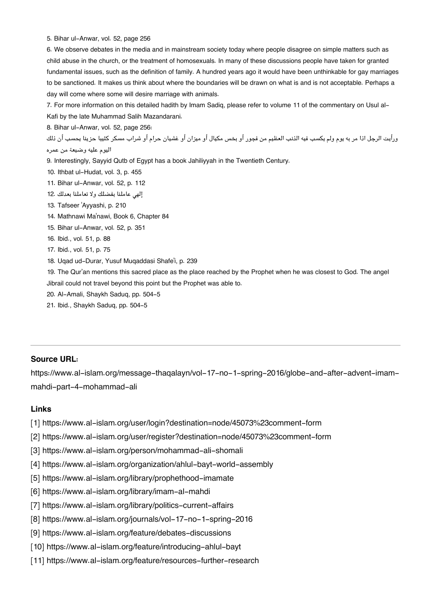[5.](#page--1-0) Bihar ul-Anwar, vol. 52, page 256

[6.](#page--1-0) We observe debates in the media and in mainstream society today where people disagree on simple matters such as child abuse in the church, or the treatment of homosexuals. In many of these discussions people have taken for granted fundamental issues, such as the definition of family. A hundred years ago it would have been unthinkable for gay marriages to be sanctioned. It makes us think about where the boundaries will be drawn on what is and is not acceptable. Perhaps a day will come where some will desire marriage with animals.

[7.](#page--1-0) For more information on this detailed hadith by Imam Sadiq, please refer to volume 11 of the commentary on Usul al-Kafi by the late Muhammad Salih Mazandarani.

[8.](#page--1-0) Bihar ul-Anwar, vol. 52, page 256:

ورأيت الرجل اذا مر به يوم ولم يكسب فيه الذنب العظيم من فجور أو بخس مكيال أو ميزان أو غشيان حرام أو شراب مسكر كئيبا حزينا يحسب أن ذلك اليوم عليه وضيعة من عمره

- [9.](#page--1-0) Interestingly, Sayyid Qutb of Egypt has a book Jahiliyyah in the Twentieth Century.
- [10.](#page--1-0) Ithbat ul-Hudat, vol. 3, p. 455
- [11.](#page--1-0) Bihar ul-Anwar, vol. 52, p. 112
- إله عاملنا بفضلك ولا تعاملنا بعدلك [12.](#page--1-0)
- [13.](#page--1-0) Tafseer 'Ayyashi, p. 210
- [14.](#page--1-0) Mathnawi Ma'nawi, Book 6, Chapter 84
- [15.](#page--1-0) Bihar ul-Anwar, vol. 52, p. 351
- [16.](#page--1-0) Ibid., vol. 51, p. 88
- [17.](#page--1-0) Ibid., vol. 51, p. 75
- [18.](#page--1-0) Uqad ud-Durar, Yusuf Muqaddasi Shafe'i, p. 239

[19.](#page--1-0) The Qur'an mentions this sacred place as the place reached by the Prophet when he was closest to God. The angel Jibrail could not travel beyond this point but the Prophet was able to.

- [20.](#page--1-0) Al-Amali, Shaykh Saduq, pp. 504-5
- [21.](#page--1-0) Ibid., Shaykh Saduq, pp. 504-5

#### **Source URL:**

https://www.al-islam.org/message-thaqalayn/vol-17-no-1-spring-2016/globe-and-after-advent-imammahdi-part-4-mohammad-ali

#### **Links**

- [1] https://www.al-islam.org/user/login?destination=node/45073%23comment-form
- [2] https://www.al-islam.org/user/register?destination=node/45073%23comment-form
- [3] https://www.al-islam.org/person/mohammad-ali-shomali
- [4] https://www.al-islam.org/organization/ahlul-bayt-world-assembly
- [5] https://www.al-islam.org/library/prophethood-imamate
- [6] https://www.al-islam.org/library/imam-al-mahdi
- [7] https://www.al-islam.org/library/politics-current-affairs
- [8] https://www.al-islam.org/journals/vol-17-no-1-spring-2016
- [9] https://www.al-islam.org/feature/debates-discussions
- [10] https://www.al-islam.org/feature/introducing-ahlul-bayt
- [11] https://www.al-islam.org/feature/resources-further-research